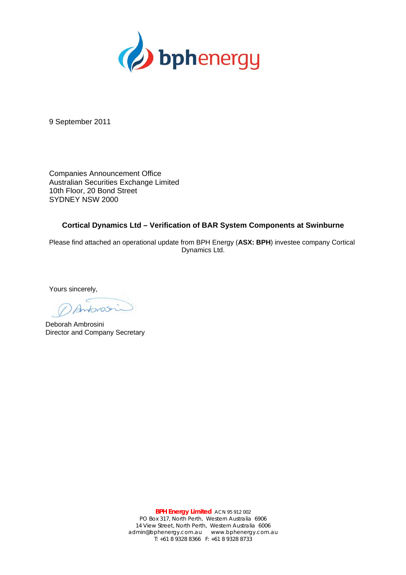

9 September 2011

Companies Announcement Office Australian Securities Exchange Limited 10th Floor, 20 Bond Street SYDNEY NSW 2000

#### **Cortical Dynamics Ltd – Verification of BAR System Components at Swinburne**

Please find attached an operational update from BPH Energy (**ASX: BPH**) investee company Cortical Dynamics Ltd.

Yours sincerely,

Deborah Ambrosini Director and Company Secretary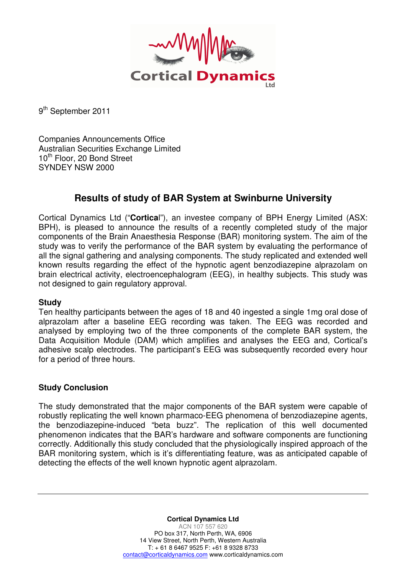

9<sup>th</sup> September 2011

Companies Announcements Office Australian Securities Exchange Limited 10<sup>th</sup> Floor, 20 Bond Street SYNDEY NSW 2000

# **Results of study of BAR System at Swinburne University**

Cortical Dynamics Ltd ("**Cortica**l"), an investee company of BPH Energy Limited (ASX: BPH), is pleased to announce the results of a recently completed study of the major components of the Brain Anaesthesia Response (BAR) monitoring system. The aim of the study was to verify the performance of the BAR system by evaluating the performance of all the signal gathering and analysing components. The study replicated and extended well known results regarding the effect of the hypnotic agent benzodiazepine alprazolam on brain electrical activity, electroencephalogram (EEG), in healthy subjects. This study was not designed to gain regulatory approval.

## **Study**

Ten healthy participants between the ages of 18 and 40 ingested a single 1mg oral dose of alprazolam after a baseline EEG recording was taken. The EEG was recorded and analysed by employing two of the three components of the complete BAR system, the Data Acquisition Module (DAM) which amplifies and analyses the EEG and, Cortical's adhesive scalp electrodes. The participant's EEG was subsequently recorded every hour for a period of three hours.

# **Study Conclusion**

The study demonstrated that the major components of the BAR system were capable of robustly replicating the well known pharmaco-EEG phenomena of benzodiazepine agents, the benzodiazepine-induced "beta buzz". The replication of this well documented phenomenon indicates that the BAR's hardware and software components are functioning correctly. Additionally this study concluded that the physiologically inspired approach of the BAR monitoring system, which is it's differentiating feature, was as anticipated capable of detecting the effects of the well known hypnotic agent alprazolam.

> **Cortical Dynamics Ltd**  ACN 107 557 620 PO box 317, North Perth, WA, 6906 14 View Street, North Perth, Western Australia T: + 61 8 6467 9525 F: +61 8 9328 8733 contact@corticaldynamics.com www.corticaldynamics.com